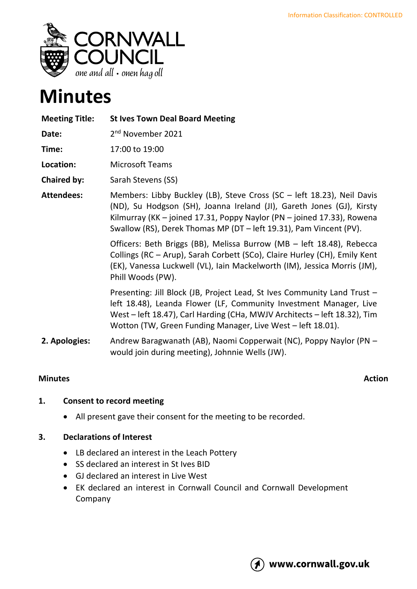

# **Minutes**

| <b>Meeting Title:</b> | <b>St Ives Town Deal Board Meeting</b>                                                                                                                                                                                                                                                                                                                                   |
|-----------------------|--------------------------------------------------------------------------------------------------------------------------------------------------------------------------------------------------------------------------------------------------------------------------------------------------------------------------------------------------------------------------|
| Date:                 | 2 <sup>nd</sup> November 2021                                                                                                                                                                                                                                                                                                                                            |
| Time:                 | 17:00 to 19:00                                                                                                                                                                                                                                                                                                                                                           |
| Location:             | <b>Microsoft Teams</b>                                                                                                                                                                                                                                                                                                                                                   |
| <b>Chaired by:</b>    | Sarah Stevens (SS)                                                                                                                                                                                                                                                                                                                                                       |
| <b>Attendees:</b>     | Members: Libby Buckley (LB), Steve Cross (SC - left 18.23), Neil Davis<br>(ND), Su Hodgson (SH), Joanna Ireland (JI), Gareth Jones (GJ), Kirsty<br>Kilmurray (KK – joined 17.31, Poppy Naylor (PN – joined 17.33), Rowena<br>Swallow (RS), Derek Thomas MP (DT - left 19.31), Pam Vincent (PV).<br>Officers: Beth Briggs (BB), Melissa Burrow (MB - left 18.48), Rebecca |
|                       | Collings (RC - Arup), Sarah Corbett (SCo), Claire Hurley (CH), Emily Kent<br>(EK), Vanessa Luckwell (VL), Iain Mackelworth (IM), Jessica Morris (JM),<br>Phill Woods (PW).                                                                                                                                                                                               |
|                       | Presenting: Jill Block (JB, Project Lead, St Ives Community Land Trust -<br>left 18.48), Leanda Flower (LF, Community Investment Manager, Live<br>West – left 18.47), Carl Harding (CHa, MWJV Architects – left 18.32), Tim<br>Wotton (TW, Green Funding Manager, Live West - left 18.01).                                                                               |
| 2. Apologies:         | Andrew Baragwanath (AB), Naomi Copperwait (NC), Poppy Naylor (PN -<br>would join during meeting), Johnnie Wells (JW).                                                                                                                                                                                                                                                    |

## **Minutes** Action

# **1. Consent to record meeting**

• All present gave their consent for the meeting to be recorded.

## **3. Declarations of Interest**

- LB declared an interest in the Leach Pottery
- SS declared an interest in St Ives BID
- GJ declared an interest in Live West
- EK declared an interest in Cornwall Council and Cornwall Development Company

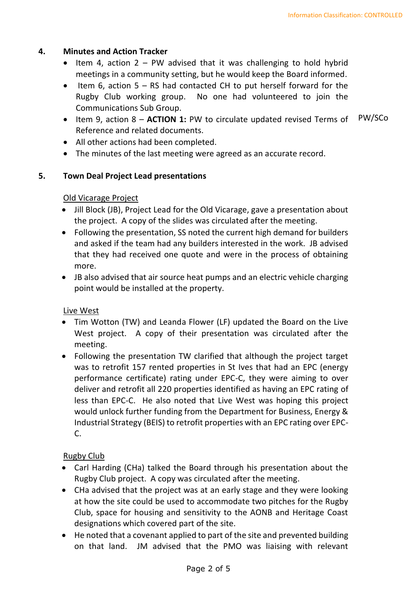#### **4. Minutes and Action Tracker**

- Item 4, action  $2 PW$  advised that it was challenging to hold hybrid meetings in a community setting, but he would keep the Board informed.
- Item 6, action 5 RS had contacted CH to put herself forward for the Rugby Club working group. No one had volunteered to join the Communications Sub Group.
- Item 9, action 8 **ACTION 1:** PW to circulate updated revised Terms of Reference and related documents. PW/SCo
- All other actions had been completed.
- The minutes of the last meeting were agreed as an accurate record.

#### **5. Town Deal Project Lead presentations**

### Old Vicarage Project

- Jill Block (JB), Project Lead for the Old Vicarage, gave a presentation about the project. A copy of the slides was circulated after the meeting.
- Following the presentation, SS noted the current high demand for builders and asked if the team had any builders interested in the work. JB advised that they had received one quote and were in the process of obtaining more.
- JB also advised that air source heat pumps and an electric vehicle charging point would be installed at the property.

#### Live West

- Tim Wotton (TW) and Leanda Flower (LF) updated the Board on the Live West project. A copy of their presentation was circulated after the meeting.
- Following the presentation TW clarified that although the project target was to retrofit 157 rented properties in St Ives that had an EPC (energy performance certificate) rating under EPC-C, they were aiming to over deliver and retrofit all 220 properties identified as having an EPC rating of less than EPC-C. He also noted that Live West was hoping this project would unlock further funding from the Department for Business, Energy & Industrial Strategy (BEIS) to retrofit properties with an EPC rating over EPC- $C<sub>1</sub>$

## Rugby Club

- Carl Harding (CHa) talked the Board through his presentation about the Rugby Club project. A copy was circulated after the meeting.
- CHa advised that the project was at an early stage and they were looking at how the site could be used to accommodate two pitches for the Rugby Club, space for housing and sensitivity to the AONB and Heritage Coast designations which covered part of the site.
- He noted that a covenant applied to part of the site and prevented building on that land. JM advised that the PMO was liaising with relevant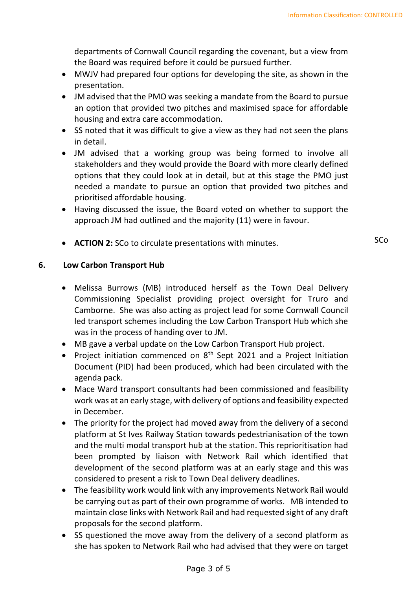departments of Cornwall Council regarding the covenant, but a view from the Board was required before it could be pursued further.

- MWJV had prepared four options for developing the site, as shown in the presentation.
- JM advised that the PMO was seeking a mandate from the Board to pursue an option that provided two pitches and maximised space for affordable housing and extra care accommodation.
- SS noted that it was difficult to give a view as they had not seen the plans in detail.
- JM advised that a working group was being formed to involve all stakeholders and they would provide the Board with more clearly defined options that they could look at in detail, but at this stage the PMO just needed a mandate to pursue an option that provided two pitches and prioritised affordable housing.
- Having discussed the issue, the Board voted on whether to support the approach JM had outlined and the majority (11) were in favour.
- **ACTION 2:** SCo to circulate presentations with minutes. SCo

## **6. Low Carbon Transport Hub**

- Melissa Burrows (MB) introduced herself as the Town Deal Delivery Commissioning Specialist providing project oversight for Truro and Camborne. She was also acting as project lead for some Cornwall Council led transport schemes including the Low Carbon Transport Hub which she was in the process of handing over to JM.
- MB gave a verbal update on the Low Carbon Transport Hub project.
- Project initiation commenced on  $8<sup>th</sup>$  Sept 2021 and a Project Initiation Document (PID) had been produced, which had been circulated with the agenda pack.
- Mace Ward transport consultants had been commissioned and feasibility work was at an early stage, with delivery of options and feasibility expected in December.
- The priority for the project had moved away from the delivery of a second platform at St Ives Railway Station towards pedestrianisation of the town and the multi modal transport hub at the station. This reprioritisation had been prompted by liaison with Network Rail which identified that development of the second platform was at an early stage and this was considered to present a risk to Town Deal delivery deadlines.
- The feasibility work would link with any improvements Network Rail would be carrying out as part of their own programme of works. MB intended to maintain close links with Network Rail and had requested sight of any draft proposals for the second platform.
- SS questioned the move away from the delivery of a second platform as she has spoken to Network Rail who had advised that they were on target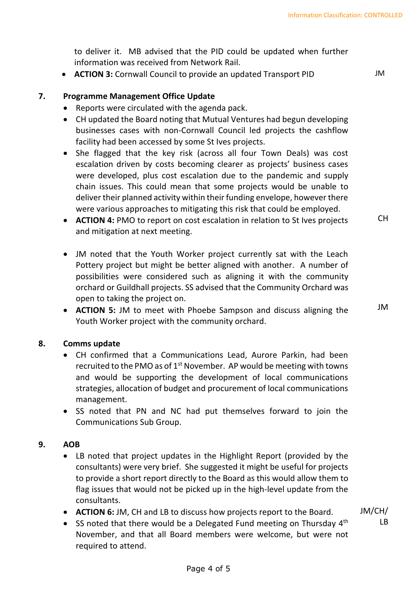to deliver it. MB advised that the PID could be updated when further information was received from Network Rail.

• **ACTION 3:** Cornwall Council to provide an updated Transport PID JM

## **7. Programme Management Office Update**

- Reports were circulated with the agenda pack.
- CH updated the Board noting that Mutual Ventures had begun developing businesses cases with non-Cornwall Council led projects the cashflow facility had been accessed by some St Ives projects.
- She flagged that the key risk (across all four Town Deals) was cost escalation driven by costs becoming clearer as projects' business cases were developed, plus cost escalation due to the pandemic and supply chain issues. This could mean that some projects would be unable to deliver their planned activity within their funding envelope, however there were various approaches to mitigating this risk that could be employed.
- **ACTION 4:** PMO to report on cost escalation in relation to St Ives projects and mitigation at next meeting.
- JM noted that the Youth Worker project currently sat with the Leach Pottery project but might be better aligned with another. A number of possibilities were considered such as aligning it with the community orchard or Guildhall projects. SS advised that the Community Orchard was open to taking the project on.
- **ACTION 5:** JM to meet with Phoebe Sampson and discuss aligning the Youth Worker project with the community orchard.

#### **8. Comms update**

- CH confirmed that a Communications Lead, Aurore Parkin, had been recruited to the PMO as of  $1<sup>st</sup>$  November. AP would be meeting with towns and would be supporting the development of local communications strategies, allocation of budget and procurement of local communications management.
- SS noted that PN and NC had put themselves forward to join the Communications Sub Group.

#### **9. AOB**

- LB noted that project updates in the Highlight Report (provided by the consultants) were very brief. She suggested it might be useful for projects to provide a short report directly to the Board as this would allow them to flag issues that would not be picked up in the high-level update from the consultants.
- **ACTION 6:** JM, CH and LB to discuss how projects report to the Board.
- SS noted that there would be a Delegated Fund meeting on Thursday  $4<sup>th</sup>$ November, and that all Board members were welcome, but were not required to attend.

JM/CH/ LB